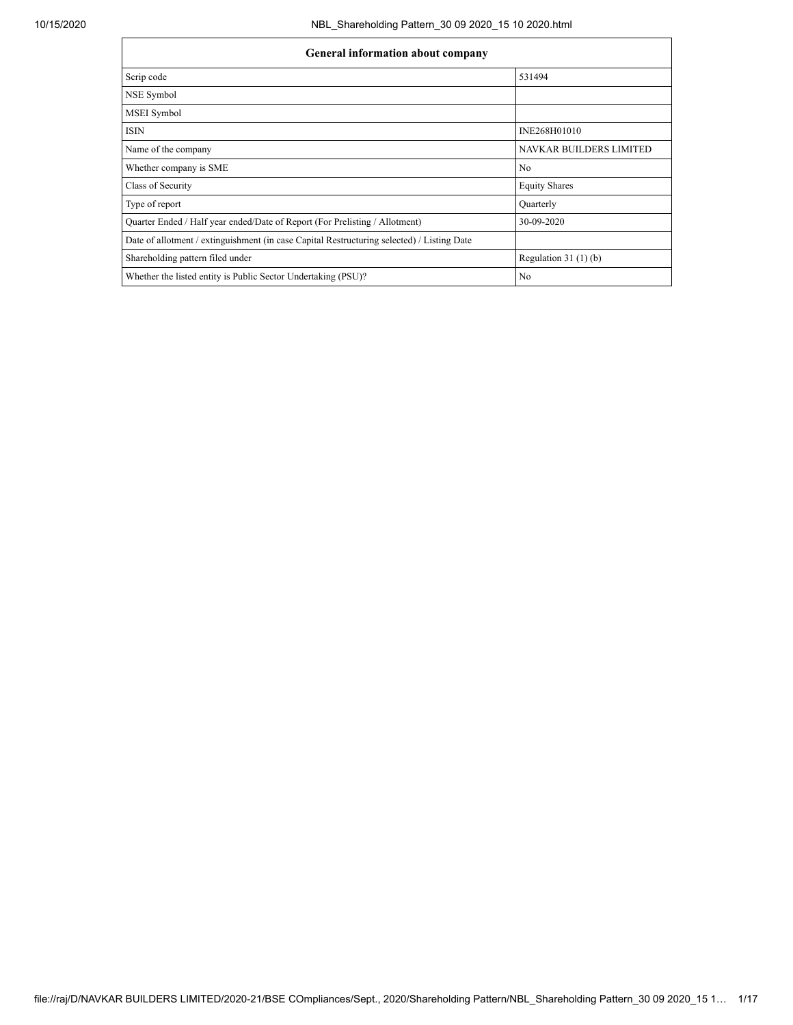| <b>General information about company</b>                                                   |                                |  |  |  |  |  |
|--------------------------------------------------------------------------------------------|--------------------------------|--|--|--|--|--|
| Scrip code                                                                                 | 531494                         |  |  |  |  |  |
| NSE Symbol                                                                                 |                                |  |  |  |  |  |
| MSEI Symbol                                                                                |                                |  |  |  |  |  |
| <b>ISIN</b>                                                                                | INE268H01010                   |  |  |  |  |  |
| Name of the company                                                                        | <b>NAVKAR BUILDERS LIMITED</b> |  |  |  |  |  |
| Whether company is SME                                                                     | N <sub>0</sub>                 |  |  |  |  |  |
| Class of Security                                                                          | <b>Equity Shares</b>           |  |  |  |  |  |
| Type of report                                                                             | Quarterly                      |  |  |  |  |  |
| Ouarter Ended / Half year ended/Date of Report (For Prelisting / Allotment)                | 30-09-2020                     |  |  |  |  |  |
| Date of allotment / extinguishment (in case Capital Restructuring selected) / Listing Date |                                |  |  |  |  |  |
| Shareholding pattern filed under                                                           | Regulation $31(1)(b)$          |  |  |  |  |  |
| Whether the listed entity is Public Sector Undertaking (PSU)?                              | N <sub>0</sub>                 |  |  |  |  |  |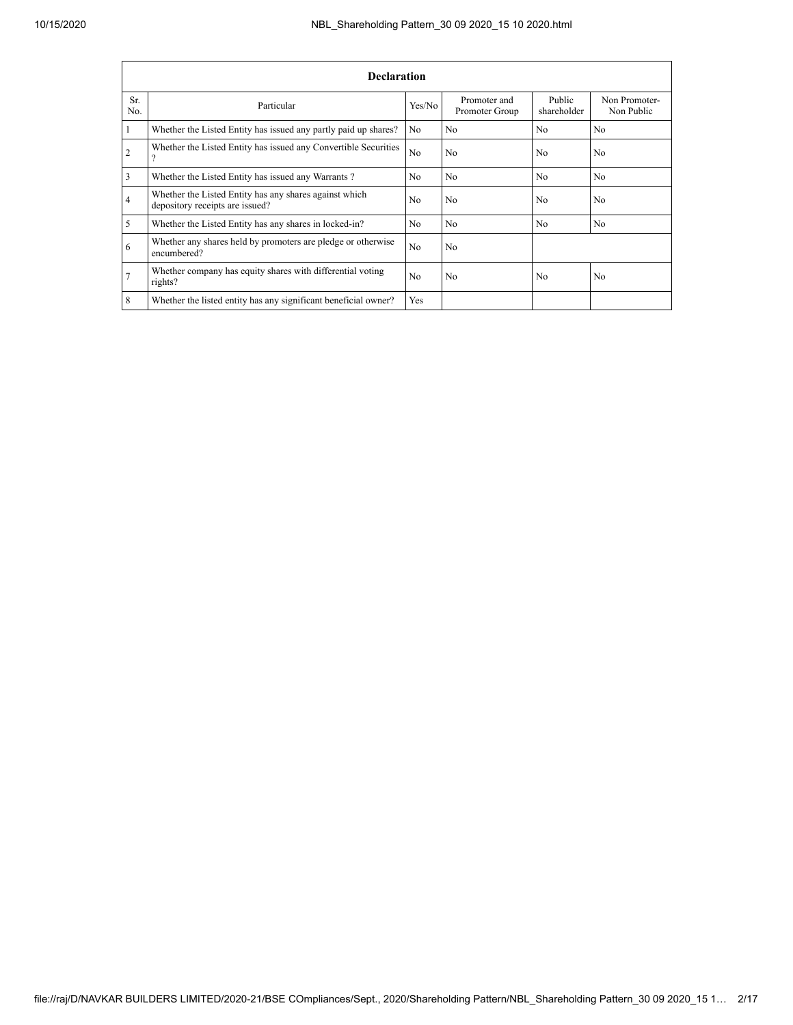|                | <b>Declaration</b>                                                                        |                |                                |                       |                             |  |  |  |
|----------------|-------------------------------------------------------------------------------------------|----------------|--------------------------------|-----------------------|-----------------------------|--|--|--|
| Sr.<br>No.     | Particular                                                                                | Yes/No         | Promoter and<br>Promoter Group | Public<br>shareholder | Non Promoter-<br>Non Public |  |  |  |
| 1              | Whether the Listed Entity has issued any partly paid up shares?                           | N <sub>0</sub> | N <sub>0</sub>                 | N <sub>0</sub>        | N <sub>0</sub>              |  |  |  |
| $\overline{2}$ | Whether the Listed Entity has issued any Convertible Securities<br>$\Omega$               | N <sub>0</sub> | N <sub>0</sub>                 | N <sub>0</sub>        | N <sub>0</sub>              |  |  |  |
| 3              | Whether the Listed Entity has issued any Warrants?                                        | No             | N <sub>0</sub>                 | N <sub>0</sub>        | N <sub>0</sub>              |  |  |  |
| $\overline{4}$ | Whether the Listed Entity has any shares against which<br>depository receipts are issued? | No             | N <sub>0</sub>                 | N <sub>0</sub>        | N <sub>0</sub>              |  |  |  |
| 5              | Whether the Listed Entity has any shares in locked-in?                                    | No             | N <sub>0</sub>                 | N <sub>0</sub>        | N <sub>0</sub>              |  |  |  |
| 6              | Whether any shares held by promoters are pledge or otherwise<br>encumbered?               | N <sub>0</sub> | N <sub>0</sub>                 |                       |                             |  |  |  |
| 7              | Whether company has equity shares with differential voting<br>rights?                     | No             | N <sub>0</sub>                 | N <sub>0</sub>        | N <sub>0</sub>              |  |  |  |
| 8              | Whether the listed entity has any significant beneficial owner?                           | Yes            |                                |                       |                             |  |  |  |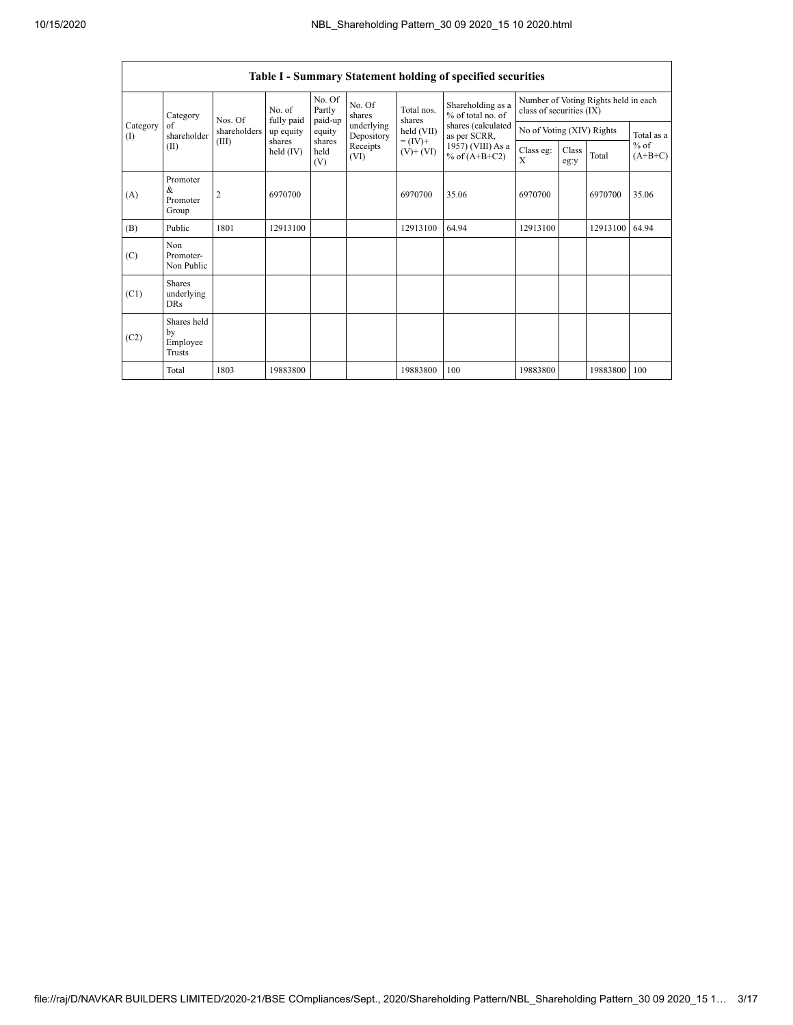|                 |                                           |                |                       |                             |                          |                              | <b>Table I - Summary Statement holding of specified securities</b> |                                                                  |               |          |                                   |  |
|-----------------|-------------------------------------------|----------------|-----------------------|-----------------------------|--------------------------|------------------------------|--------------------------------------------------------------------|------------------------------------------------------------------|---------------|----------|-----------------------------------|--|
|                 | Category<br>of<br>shareholder<br>(II)     | Nos. Of        | No. of<br>fully paid  | No. Of<br>Partly<br>paid-up | No. Of<br>shares         | Total nos.<br>shares         | Shareholding as a<br>% of total no. of                             | Number of Voting Rights held in each<br>class of securities (IX) |               |          |                                   |  |
| Category<br>(1) |                                           | shareholders   | up equity             | equity                      | underlying<br>Depository | held (VII)                   | shares (calculated<br>as per SCRR,                                 | No of Voting (XIV) Rights                                        |               |          | Total as a<br>$%$ of<br>$(A+B+C)$ |  |
|                 |                                           | (III)          | shares<br>held $(IV)$ | shares<br>held<br>(V)       | Receipts<br>(VI)         | $= (IV) +$<br>$(V)$ + $(VI)$ | 1957) (VIII) As a<br>% of $(A+B+C2)$                               | Class eg:<br>$\mathbf{x}$                                        | Class<br>eg:y | Total    |                                   |  |
| (A)             | Promoter<br>&<br>Promoter<br>Group        | $\overline{2}$ | 6970700               |                             |                          | 6970700                      | 35.06                                                              | 6970700                                                          |               | 6970700  | 35.06                             |  |
| (B)             | Public                                    | 1801           | 12913100              |                             |                          | 12913100                     | 64.94                                                              | 12913100                                                         |               | 12913100 | 64.94                             |  |
| (C)             | Non<br>Promoter-<br>Non Public            |                |                       |                             |                          |                              |                                                                    |                                                                  |               |          |                                   |  |
| (C1)            | <b>Shares</b><br>underlying<br><b>DRs</b> |                |                       |                             |                          |                              |                                                                    |                                                                  |               |          |                                   |  |
| (C2)            | Shares held<br>by<br>Employee<br>Trusts   |                |                       |                             |                          |                              |                                                                    |                                                                  |               |          |                                   |  |
|                 | Total                                     | 1803           | 19883800              |                             |                          | 19883800                     | 100                                                                | 19883800                                                         |               | 19883800 | 100                               |  |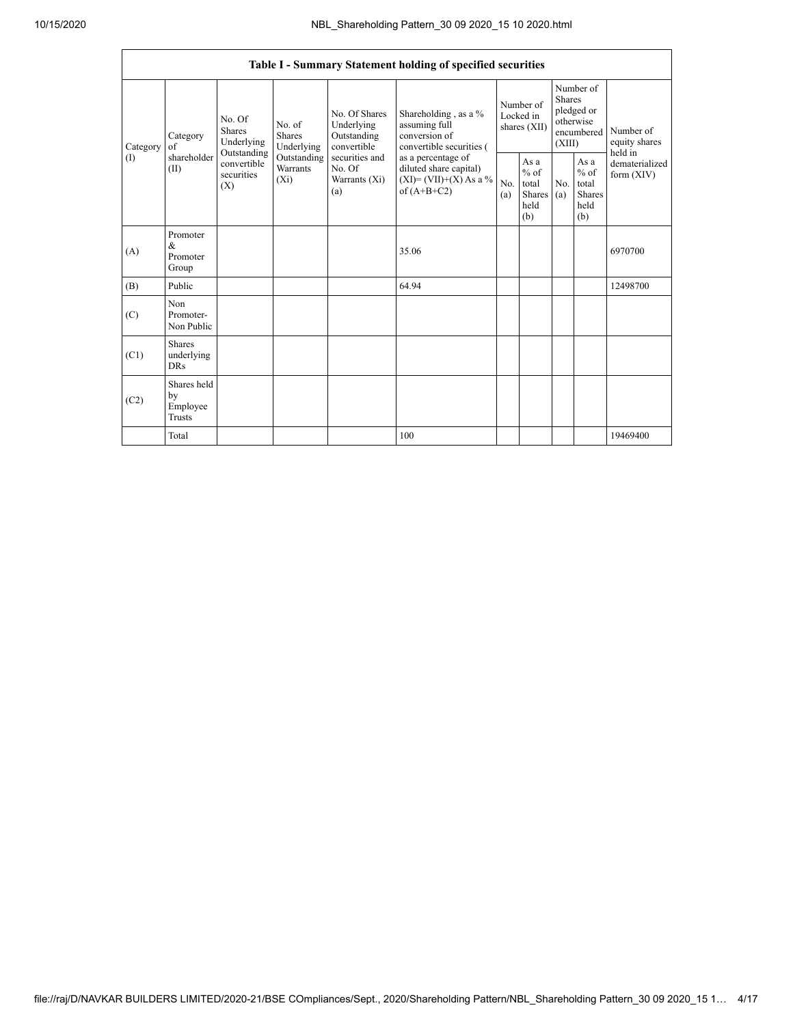|                             |                                           |                                                                                              |                                       |                                                                                                                                                 | Table I - Summary Statement holding of specified securities                                |            |                                                                               |            |                                                         |                                |
|-----------------------------|-------------------------------------------|----------------------------------------------------------------------------------------------|---------------------------------------|-------------------------------------------------------------------------------------------------------------------------------------------------|--------------------------------------------------------------------------------------------|------------|-------------------------------------------------------------------------------|------------|---------------------------------------------------------|--------------------------------|
| of<br>Category<br>(<br>(II) | Category                                  | No. Of<br>Shares<br>Underlying<br>Outstanding<br>convertible<br>securities<br>$(X_i)$<br>(X) | No. of<br><b>Shares</b><br>Underlying | No. Of Shares<br>Shareholding, as a %<br>Underlying<br>assuming full<br>Outstanding<br>conversion of<br>convertible<br>convertible securities ( | Number of<br>Locked in<br>shares (XII)                                                     |            | Number of<br><b>Shares</b><br>pledged or<br>otherwise<br>encumbered<br>(XIII) |            | Number of<br>equity shares<br>held in                   |                                |
|                             | shareholder                               |                                                                                              | Outstanding<br><b>Warrants</b>        | securities and<br>No. Of<br>Warrants (Xi)<br>(a)                                                                                                | as a percentage of<br>diluted share capital)<br>$(XI) = (VII)+(X) As a %$<br>of $(A+B+C2)$ | No.<br>(a) | As a<br>$%$ of<br>total<br><b>Shares</b><br>held<br>(b)                       | No.<br>(a) | As a<br>$%$ of<br>total<br><b>Shares</b><br>held<br>(b) | dematerialized<br>form $(XIV)$ |
| (A)                         | Promoter<br>&<br>Promoter<br>Group        |                                                                                              |                                       |                                                                                                                                                 | 35.06                                                                                      |            |                                                                               |            |                                                         | 6970700                        |
| (B)                         | Public                                    |                                                                                              |                                       |                                                                                                                                                 | 64.94                                                                                      |            |                                                                               |            |                                                         | 12498700                       |
| (C)                         | Non<br>Promoter-<br>Non Public            |                                                                                              |                                       |                                                                                                                                                 |                                                                                            |            |                                                                               |            |                                                         |                                |
| (C1)                        | <b>Shares</b><br>underlying<br><b>DRs</b> |                                                                                              |                                       |                                                                                                                                                 |                                                                                            |            |                                                                               |            |                                                         |                                |
| (C2)                        | Shares held<br>by<br>Employee<br>Trusts   |                                                                                              |                                       |                                                                                                                                                 |                                                                                            |            |                                                                               |            |                                                         |                                |
|                             | Total                                     |                                                                                              |                                       |                                                                                                                                                 | 100                                                                                        |            |                                                                               |            |                                                         | 19469400                       |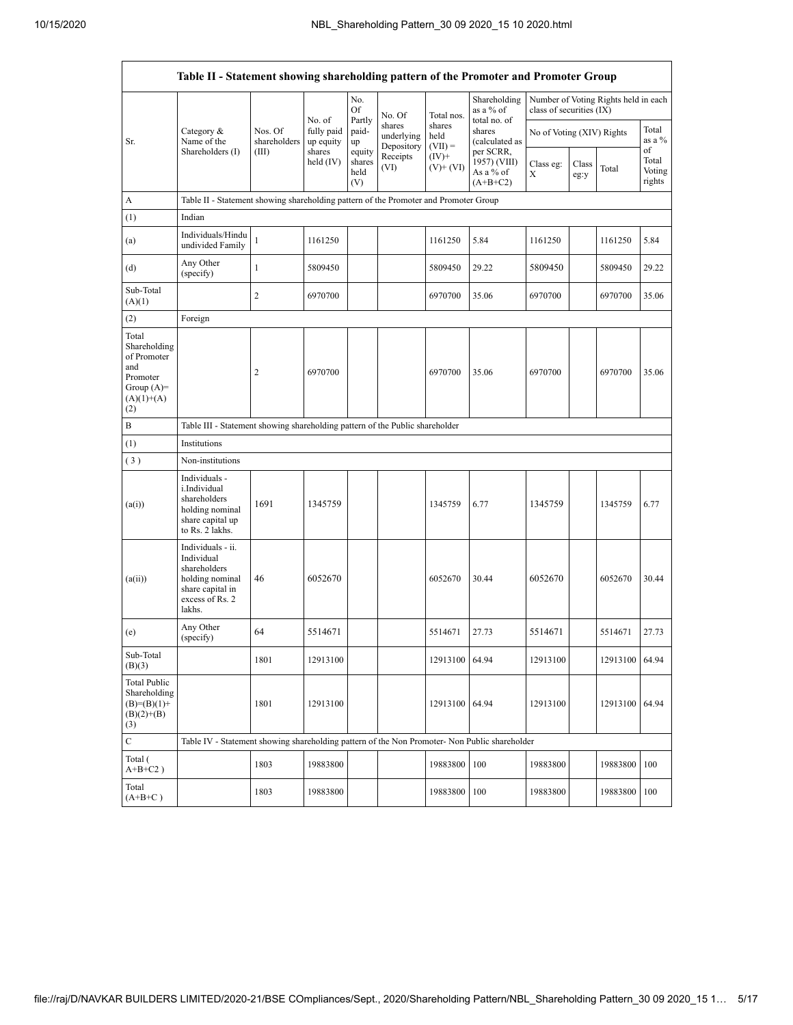|                                                                                                | Table II - Statement showing shareholding pattern of the Promoter and Promoter Group                                |                                  |                                                          |                                 |                                    |                             |                                                      |                           |               |                                      |                                 |
|------------------------------------------------------------------------------------------------|---------------------------------------------------------------------------------------------------------------------|----------------------------------|----------------------------------------------------------|---------------------------------|------------------------------------|-----------------------------|------------------------------------------------------|---------------------------|---------------|--------------------------------------|---------------------------------|
|                                                                                                |                                                                                                                     |                                  |                                                          | No.<br>Of                       | No. Of                             | Total nos.                  | Shareholding<br>as a % of                            | class of securities (IX)  |               | Number of Voting Rights held in each |                                 |
| Sr.                                                                                            | Category $\&$<br>Name of the<br>Shareholders (I)                                                                    | Nos. Of<br>shareholders<br>(III) | No. of<br>fully paid<br>up equity<br>shares<br>held (IV) | Partly<br>paid-<br>up           | shares<br>underlying<br>Depository | shares<br>held<br>$(VII) =$ | total no. of<br>shares<br>(calculated as             | No of Voting (XIV) Rights |               |                                      | Total<br>as a %                 |
|                                                                                                |                                                                                                                     |                                  |                                                          | equity<br>shares<br>held<br>(V) | Receipts<br>(VI)                   | $(IV)+$<br>$(V)$ + $(VI)$   | per SCRR,<br>1957) (VIII)<br>As a % of<br>$(A+B+C2)$ | Class eg:<br>X            | Class<br>eg:y | Total                                | of<br>Total<br>Voting<br>rights |
| A                                                                                              | Table II - Statement showing shareholding pattern of the Promoter and Promoter Group                                |                                  |                                                          |                                 |                                    |                             |                                                      |                           |               |                                      |                                 |
| (1)                                                                                            | Indian                                                                                                              |                                  |                                                          |                                 |                                    |                             |                                                      |                           |               |                                      |                                 |
| (a)                                                                                            | Individuals/Hindu<br>undivided Family                                                                               | $\mathbf{1}$                     | 1161250                                                  |                                 |                                    | 1161250                     | 5.84                                                 | 1161250                   |               | 1161250                              | 5.84                            |
| (d)                                                                                            | Any Other<br>(specify)                                                                                              | $\mathbf{1}$                     | 5809450                                                  |                                 |                                    | 5809450                     | 29.22                                                | 5809450                   |               | 5809450                              | 29.22                           |
| Sub-Total<br>(A)(1)                                                                            |                                                                                                                     | $\overline{c}$                   | 6970700                                                  |                                 |                                    | 6970700                     | 35.06                                                | 6970700                   |               | 6970700                              | 35.06                           |
| (2)                                                                                            | Foreign                                                                                                             |                                  |                                                          |                                 |                                    |                             |                                                      |                           |               |                                      |                                 |
| Total<br>Shareholding<br>of Promoter<br>and<br>Promoter<br>Group $(A)=$<br>$(A)(1)+(A)$<br>(2) |                                                                                                                     | $\overline{\mathbf{c}}$          | 6970700                                                  |                                 |                                    | 6970700                     | 35.06                                                | 6970700                   |               | 6970700                              | 35.06                           |
| B                                                                                              | Table III - Statement showing shareholding pattern of the Public shareholder                                        |                                  |                                                          |                                 |                                    |                             |                                                      |                           |               |                                      |                                 |
| (1)                                                                                            | Institutions                                                                                                        |                                  |                                                          |                                 |                                    |                             |                                                      |                           |               |                                      |                                 |
| (3)                                                                                            | Non-institutions                                                                                                    |                                  |                                                          |                                 |                                    |                             |                                                      |                           |               |                                      |                                 |
| (a(i))                                                                                         | Individuals -<br>i.Individual<br>shareholders<br>holding nominal<br>share capital up<br>to Rs. 2 lakhs.             | 1691                             | 1345759                                                  |                                 |                                    | 1345759                     | 6.77                                                 | 1345759                   |               | 1345759                              | 6.77                            |
| (a(ii))                                                                                        | Individuals - ii.<br>Individual<br>shareholders<br>holding nominal<br>share capital in<br>excess of Rs. 2<br>lakhs. | 46                               | 6052670                                                  |                                 |                                    | 6052670                     | 30.44                                                | 6052670                   |               | 6052670                              | 30.44                           |
| (e)                                                                                            | Any Other<br>(specify)                                                                                              | 64                               | 5514671                                                  |                                 |                                    | 5514671                     | 27.73                                                | 5514671                   |               | 5514671                              | 27.73                           |
| Sub-Total<br>(B)(3)                                                                            |                                                                                                                     | 1801                             | 12913100                                                 |                                 |                                    | 12913100                    | 64.94                                                | 12913100                  |               | 12913100                             | 64.94                           |
| <b>Total Public</b><br>Shareholding<br>$(B)= (B)(1) +$<br>$(B)(2)+(B)$<br>(3)                  |                                                                                                                     | 1801                             | 12913100                                                 |                                 |                                    | 12913100 64.94              |                                                      | 12913100                  |               | 12913100                             | 64.94                           |
| $\mathbf C$                                                                                    | Table IV - Statement showing shareholding pattern of the Non Promoter- Non Public shareholder                       |                                  |                                                          |                                 |                                    |                             |                                                      |                           |               |                                      |                                 |
| Total (<br>$\mathrm{A} \text{+} \mathrm{B} \text{+} \mathrm{C2}$ )                             |                                                                                                                     | 1803                             | 19883800                                                 |                                 |                                    | 19883800                    | 100                                                  | 19883800                  |               | 19883800                             | 100                             |
| Total<br>$(A+B+C)$                                                                             |                                                                                                                     | 1803                             | 19883800                                                 |                                 |                                    | 19883800                    | 100                                                  | 19883800                  |               | 19883800                             | 100                             |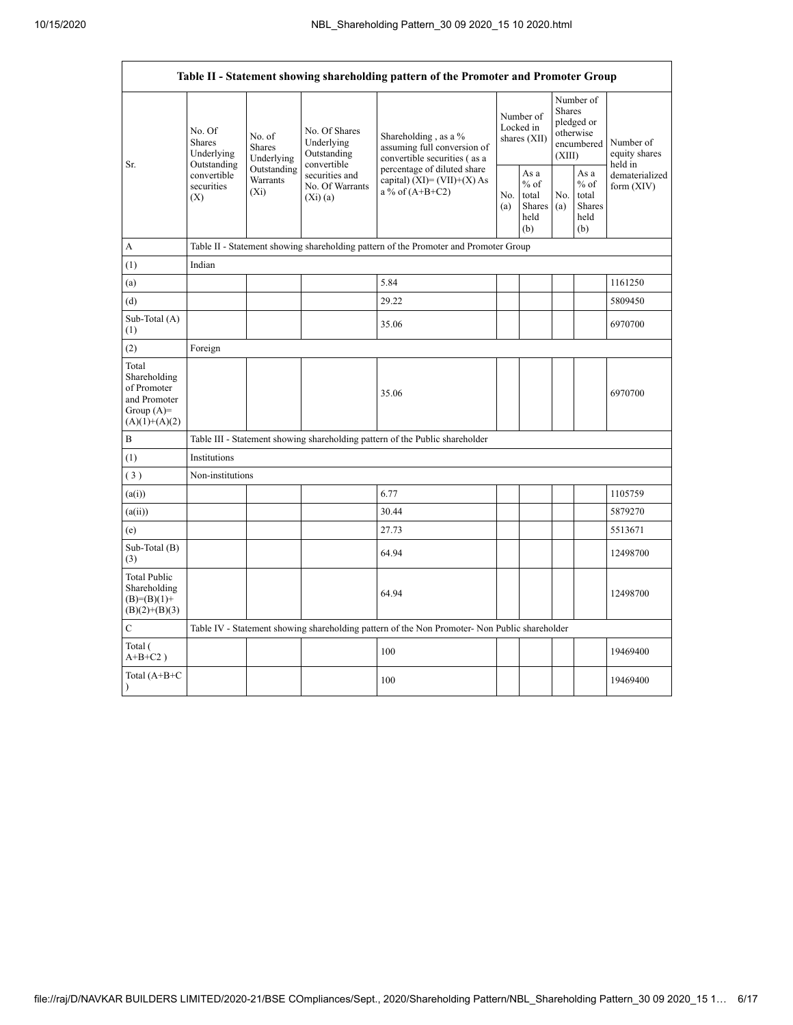Г

٦

|                                                                                         |                                                                                                                                |                         |                                                           | Table II - Statement showing shareholding pattern of the Promoter and Promoter Group          |                                        |                                                         |                                                                        |                                                         |                                       |
|-----------------------------------------------------------------------------------------|--------------------------------------------------------------------------------------------------------------------------------|-------------------------|-----------------------------------------------------------|-----------------------------------------------------------------------------------------------|----------------------------------------|---------------------------------------------------------|------------------------------------------------------------------------|---------------------------------------------------------|---------------------------------------|
| Sr.                                                                                     | No. Of<br>No. of<br><b>Shares</b><br><b>Shares</b><br>Underlying<br>Outstanding<br>convertible<br>securities<br>$(X_i)$<br>(X) | Underlying              | No. Of Shares<br>Underlying<br>Outstanding<br>convertible | Shareholding, as a %<br>assuming full conversion of<br>convertible securities (as a           | Number of<br>Locked in<br>shares (XII) |                                                         | Number of<br>Shares<br>pledged or<br>otherwise<br>encumbered<br>(XIII) |                                                         | Number of<br>equity shares<br>held in |
|                                                                                         |                                                                                                                                | Outstanding<br>Warrants | securities and<br>No. Of Warrants<br>$(Xi)$ (a)           | percentage of diluted share<br>capital) $(XI) = (VII)+(X) As$<br>a % of $(A+B+C2)$            | No.<br>(a)                             | As a<br>$%$ of<br>total<br><b>Shares</b><br>held<br>(b) | No.<br>(a)                                                             | As a<br>$%$ of<br>total<br><b>Shares</b><br>held<br>(b) | dematerialized<br>form (XIV)          |
| A                                                                                       |                                                                                                                                |                         |                                                           | Table II - Statement showing shareholding pattern of the Promoter and Promoter Group          |                                        |                                                         |                                                                        |                                                         |                                       |
| (1)                                                                                     | Indian                                                                                                                         |                         |                                                           |                                                                                               |                                        |                                                         |                                                                        |                                                         |                                       |
| (a)                                                                                     |                                                                                                                                |                         |                                                           | 5.84                                                                                          |                                        |                                                         |                                                                        |                                                         | 1161250                               |
| (d)                                                                                     |                                                                                                                                |                         |                                                           | 29.22                                                                                         |                                        |                                                         |                                                                        |                                                         | 5809450                               |
| Sub-Total (A)<br>(1)                                                                    |                                                                                                                                |                         |                                                           | 35.06                                                                                         |                                        |                                                         |                                                                        |                                                         | 6970700                               |
| (2)                                                                                     | Foreign                                                                                                                        |                         |                                                           |                                                                                               |                                        |                                                         |                                                                        |                                                         |                                       |
| Total<br>Shareholding<br>of Promoter<br>and Promoter<br>Group $(A)=$<br>$(A)(1)+(A)(2)$ |                                                                                                                                |                         |                                                           | 35.06                                                                                         |                                        |                                                         |                                                                        |                                                         | 6970700                               |
| $\boldsymbol{B}$                                                                        |                                                                                                                                |                         |                                                           | Table III - Statement showing shareholding pattern of the Public shareholder                  |                                        |                                                         |                                                                        |                                                         |                                       |
| (1)                                                                                     | Institutions                                                                                                                   |                         |                                                           |                                                                                               |                                        |                                                         |                                                                        |                                                         |                                       |
| (3)                                                                                     | Non-institutions                                                                                                               |                         |                                                           |                                                                                               |                                        |                                                         |                                                                        |                                                         |                                       |
| (a(i))                                                                                  |                                                                                                                                |                         |                                                           | 6.77                                                                                          |                                        |                                                         |                                                                        |                                                         | 1105759                               |
| (a(ii))                                                                                 |                                                                                                                                |                         |                                                           | 30.44                                                                                         |                                        |                                                         |                                                                        |                                                         | 5879270                               |
| (e)                                                                                     |                                                                                                                                |                         |                                                           | 27.73                                                                                         |                                        |                                                         |                                                                        |                                                         | 5513671                               |
| Sub-Total (B)<br>(3)                                                                    |                                                                                                                                |                         |                                                           | 64.94                                                                                         |                                        |                                                         |                                                                        |                                                         | 12498700                              |
| <b>Total Public</b><br>Shareholding<br>$(B)= (B)(1) +$<br>$(B)(2)+(B)(3)$               |                                                                                                                                |                         |                                                           | 64.94                                                                                         |                                        |                                                         |                                                                        |                                                         | 12498700                              |
| $\mathcal{C}$                                                                           |                                                                                                                                |                         |                                                           | Table IV - Statement showing shareholding pattern of the Non Promoter- Non Public shareholder |                                        |                                                         |                                                                        |                                                         |                                       |
| Total (<br>$A+B+C2$ )                                                                   |                                                                                                                                |                         |                                                           | 100                                                                                           |                                        |                                                         |                                                                        |                                                         | 19469400                              |
| Total $(A+B+C)$<br>$\mathcal{E}$                                                        |                                                                                                                                |                         |                                                           | 100                                                                                           |                                        |                                                         |                                                                        |                                                         | 19469400                              |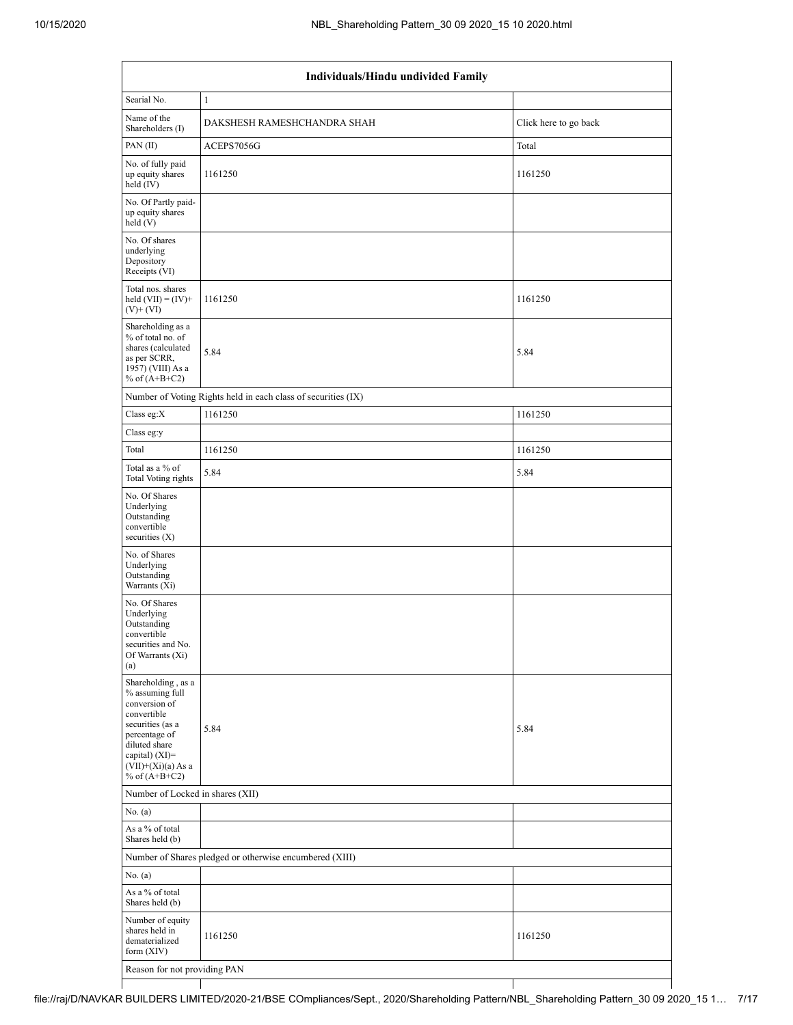$\mathbf{I}$ 

Τ

|                                                                                                                                                                                          | Individuals/Hindu undivided Family                            |                       |  |  |  |  |  |  |  |
|------------------------------------------------------------------------------------------------------------------------------------------------------------------------------------------|---------------------------------------------------------------|-----------------------|--|--|--|--|--|--|--|
| Searial No.                                                                                                                                                                              |                                                               |                       |  |  |  |  |  |  |  |
| Name of the<br>Shareholders (I)                                                                                                                                                          | DAKSHESH RAMESHCHANDRA SHAH                                   | Click here to go back |  |  |  |  |  |  |  |
| PAN (II)                                                                                                                                                                                 | ACEPS7056G                                                    | Total                 |  |  |  |  |  |  |  |
| No. of fully paid<br>up equity shares<br>held (IV)                                                                                                                                       | 1161250                                                       | 1161250               |  |  |  |  |  |  |  |
| No. Of Partly paid-<br>up equity shares<br>held (V)                                                                                                                                      |                                                               |                       |  |  |  |  |  |  |  |
| No. Of shares<br>underlying<br>Depository<br>Receipts (VI)                                                                                                                               |                                                               |                       |  |  |  |  |  |  |  |
| Total nos. shares<br>held $(VII) = (IV) +$<br>$(V)$ + $(VI)$                                                                                                                             | 1161250                                                       | 1161250               |  |  |  |  |  |  |  |
| Shareholding as a<br>% of total no. of<br>shares (calculated<br>as per SCRR,<br>1957) (VIII) As a<br>% of $(A+B+C2)$                                                                     | 5.84                                                          | 5.84                  |  |  |  |  |  |  |  |
|                                                                                                                                                                                          | Number of Voting Rights held in each class of securities (IX) |                       |  |  |  |  |  |  |  |
| Class eg: $X$                                                                                                                                                                            | 1161250                                                       | 1161250               |  |  |  |  |  |  |  |
| Class eg:y                                                                                                                                                                               |                                                               |                       |  |  |  |  |  |  |  |
| Total                                                                                                                                                                                    | 1161250                                                       | 1161250               |  |  |  |  |  |  |  |
| Total as a % of<br>Total Voting rights                                                                                                                                                   | 5.84                                                          | 5.84                  |  |  |  |  |  |  |  |
| No. Of Shares<br>Underlying<br>Outstanding<br>convertible<br>securities $(X)$                                                                                                            |                                                               |                       |  |  |  |  |  |  |  |
| No. of Shares<br>Underlying<br>Outstanding<br>Warrants (Xi)                                                                                                                              |                                                               |                       |  |  |  |  |  |  |  |
| No. Of Shares<br>Underlying<br>Outstanding<br>convertible<br>securities and No.<br>Of Warrants (Xi)<br>(a)                                                                               |                                                               |                       |  |  |  |  |  |  |  |
| Shareholding, as a<br>% assuming full<br>conversion of<br>convertible<br>securities (as a<br>percentage of<br>diluted share<br>capital) (XI)=<br>$(VII)+(Xi)(a)$ As a<br>% of $(A+B+C2)$ | 5.84                                                          | 5.84                  |  |  |  |  |  |  |  |
| Number of Locked in shares (XII)                                                                                                                                                         |                                                               |                       |  |  |  |  |  |  |  |
| No. (a)                                                                                                                                                                                  |                                                               |                       |  |  |  |  |  |  |  |
| As a % of total<br>Shares held (b)                                                                                                                                                       |                                                               |                       |  |  |  |  |  |  |  |
|                                                                                                                                                                                          | Number of Shares pledged or otherwise encumbered (XIII)       |                       |  |  |  |  |  |  |  |
| No. (a)                                                                                                                                                                                  |                                                               |                       |  |  |  |  |  |  |  |
| As a % of total<br>Shares held (b)                                                                                                                                                       |                                                               |                       |  |  |  |  |  |  |  |
| Number of equity<br>shares held in<br>dematerialized<br>form (XIV)                                                                                                                       | 1161250                                                       | 1161250               |  |  |  |  |  |  |  |
| Reason for not providing PAN                                                                                                                                                             |                                                               |                       |  |  |  |  |  |  |  |

┰

┪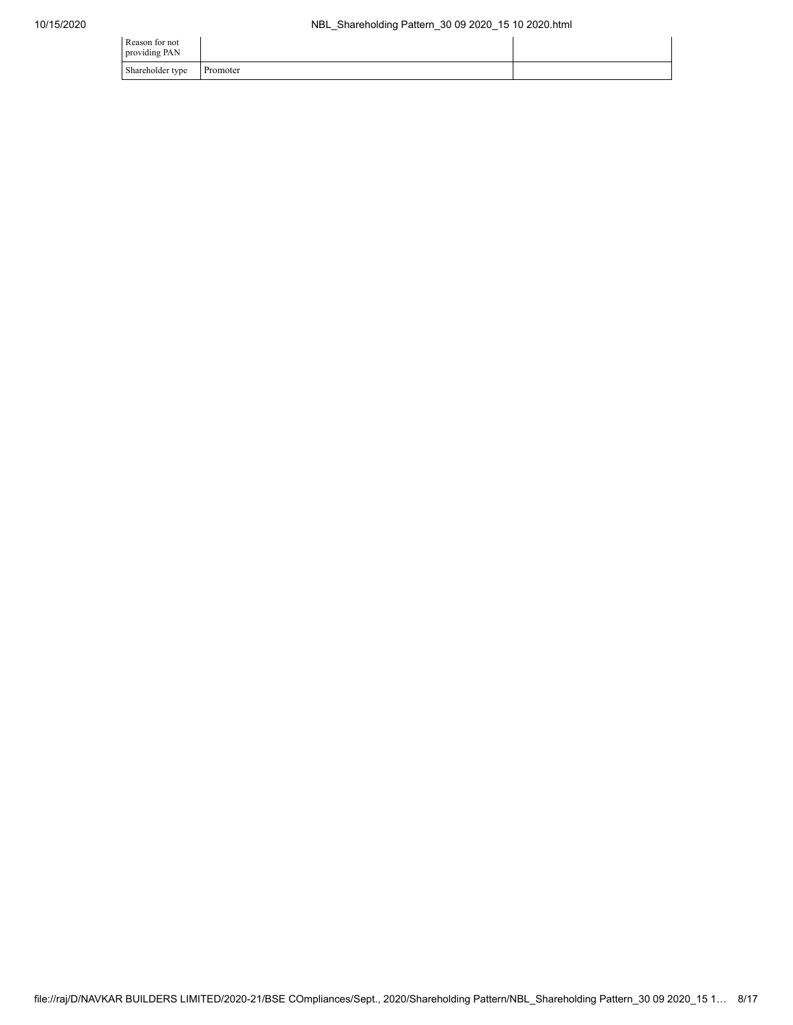| Reason for not<br>providing PAN |          |  |
|---------------------------------|----------|--|
| Shareholder type                | Promoter |  |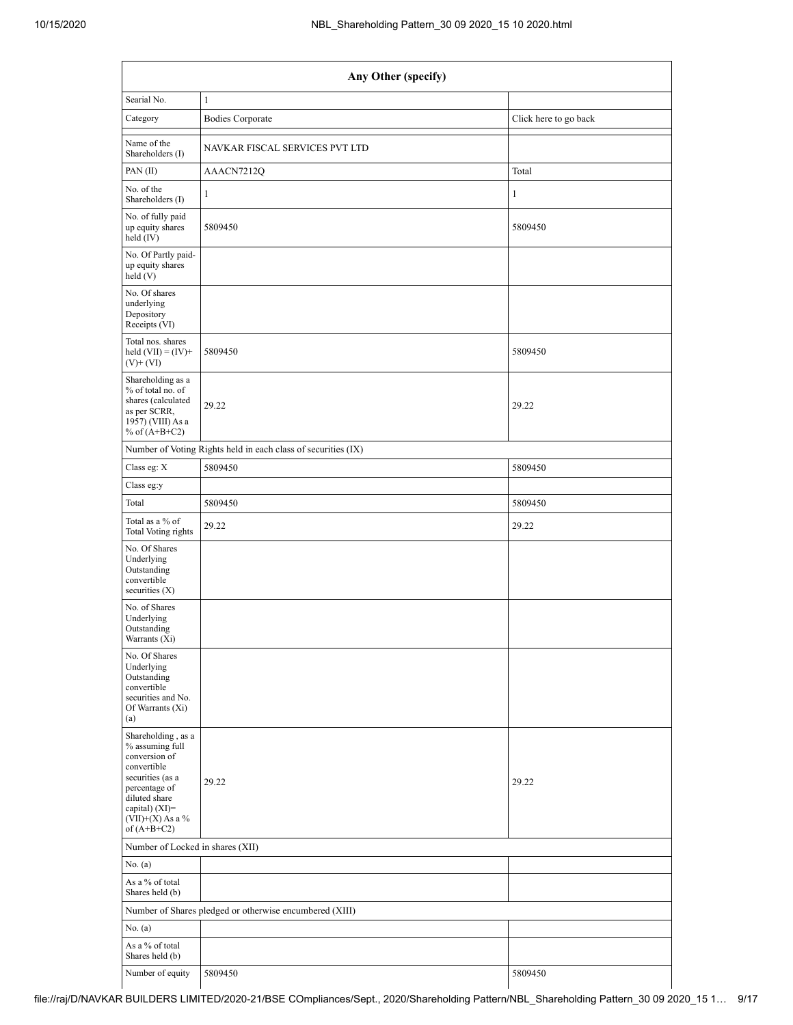|                                                                                                                                                                                        | Any Other (specify)                                           |                       |  |  |  |  |  |  |
|----------------------------------------------------------------------------------------------------------------------------------------------------------------------------------------|---------------------------------------------------------------|-----------------------|--|--|--|--|--|--|
| Searial No.                                                                                                                                                                            | $\mathbf{1}$                                                  |                       |  |  |  |  |  |  |
| Category                                                                                                                                                                               | <b>Bodies Corporate</b>                                       | Click here to go back |  |  |  |  |  |  |
| Name of the<br>Shareholders (I)                                                                                                                                                        | NAVKAR FISCAL SERVICES PVT LTD                                |                       |  |  |  |  |  |  |
| PAN (II)                                                                                                                                                                               | AAACN7212Q                                                    | Total                 |  |  |  |  |  |  |
| No. of the<br>Shareholders (I)                                                                                                                                                         | 1                                                             | $\mathbf{1}$          |  |  |  |  |  |  |
| No. of fully paid<br>up equity shares<br>held (IV)                                                                                                                                     | 5809450                                                       | 5809450               |  |  |  |  |  |  |
| No. Of Partly paid-<br>up equity shares<br>held (V)                                                                                                                                    |                                                               |                       |  |  |  |  |  |  |
| No. Of shares<br>underlying<br>Depository<br>Receipts (VI)                                                                                                                             |                                                               |                       |  |  |  |  |  |  |
| Total nos. shares<br>held $(VII) = (IV) +$<br>$(V)$ + $(VI)$                                                                                                                           | 5809450                                                       | 5809450               |  |  |  |  |  |  |
| Shareholding as a<br>% of total no. of<br>shares (calculated<br>as per SCRR,<br>1957) (VIII) As a<br>% of $(A+B+C2)$                                                                   | 29.22                                                         | 29.22                 |  |  |  |  |  |  |
|                                                                                                                                                                                        | Number of Voting Rights held in each class of securities (IX) |                       |  |  |  |  |  |  |
| Class eg: X                                                                                                                                                                            | 5809450                                                       | 5809450               |  |  |  |  |  |  |
| Class eg:y                                                                                                                                                                             |                                                               |                       |  |  |  |  |  |  |
| Total                                                                                                                                                                                  | 5809450                                                       | 5809450               |  |  |  |  |  |  |
| Total as a % of<br>Total Voting rights                                                                                                                                                 | 29.22                                                         | 29.22                 |  |  |  |  |  |  |
| No. Of Shares<br>Underlying<br>Outstanding<br>convertible<br>securities (X)                                                                                                            |                                                               |                       |  |  |  |  |  |  |
| No. of Shares<br>Underlying<br>Outstanding<br>Warrants (Xi)                                                                                                                            |                                                               |                       |  |  |  |  |  |  |
| No. Of Shares<br>Underlying<br>Outstanding<br>convertible<br>securities and No.<br>Of Warrants (Xi)<br>(a)                                                                             |                                                               |                       |  |  |  |  |  |  |
| Shareholding, as a<br>% assuming full<br>conversion of<br>convertible<br>securities (as a<br>percentage of<br>diluted share<br>capital) $(XI)=$<br>$(VII)+(X)$ As a %<br>of $(A+B+C2)$ | 29.22                                                         | 29.22                 |  |  |  |  |  |  |
| Number of Locked in shares (XII)                                                                                                                                                       |                                                               |                       |  |  |  |  |  |  |
| No. (a)                                                                                                                                                                                |                                                               |                       |  |  |  |  |  |  |
| As a % of total<br>Shares held (b)                                                                                                                                                     |                                                               |                       |  |  |  |  |  |  |
|                                                                                                                                                                                        | Number of Shares pledged or otherwise encumbered (XIII)       |                       |  |  |  |  |  |  |
| No. $(a)$                                                                                                                                                                              |                                                               |                       |  |  |  |  |  |  |
| As a % of total<br>Shares held (b)                                                                                                                                                     |                                                               |                       |  |  |  |  |  |  |
| Number of equity                                                                                                                                                                       | 5809450                                                       | 5809450               |  |  |  |  |  |  |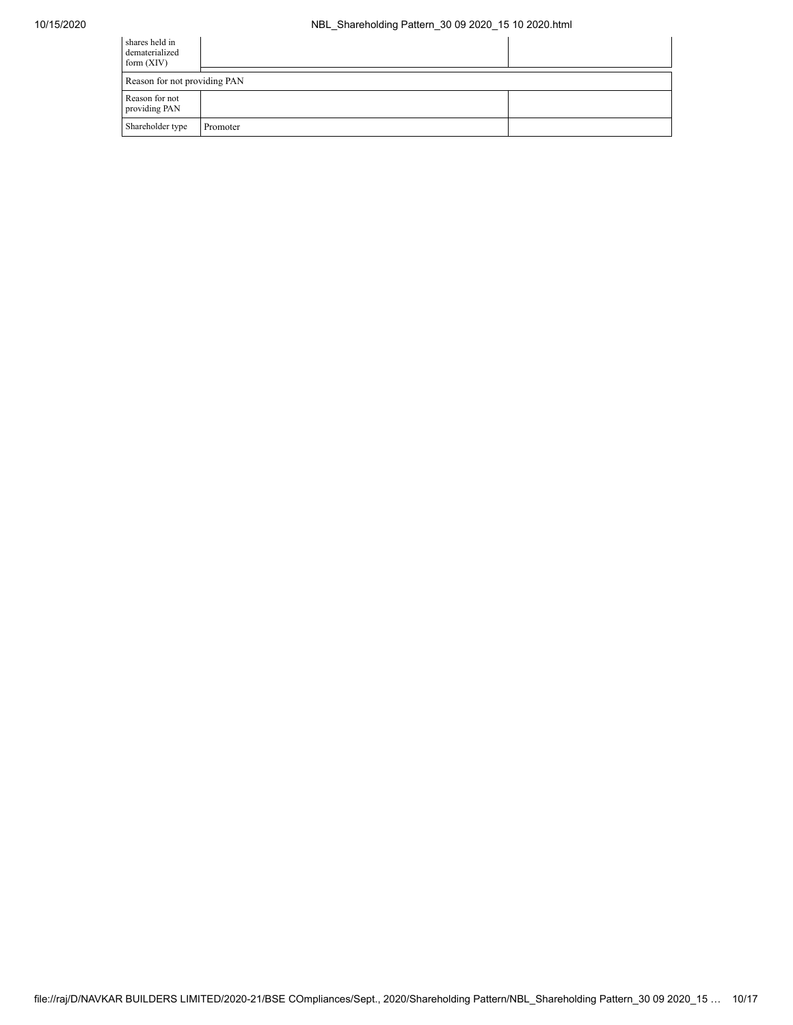## 10/15/2020 NBL\_Shareholding Pattern\_30 09 2020\_15 10 2020.html

| shares held in<br>dematerialized<br>form $(XIV)$ |          |  |
|--------------------------------------------------|----------|--|
| Reason for not providing PAN                     |          |  |
| Reason for not<br>providing PAN                  |          |  |
| Shareholder type                                 | Promoter |  |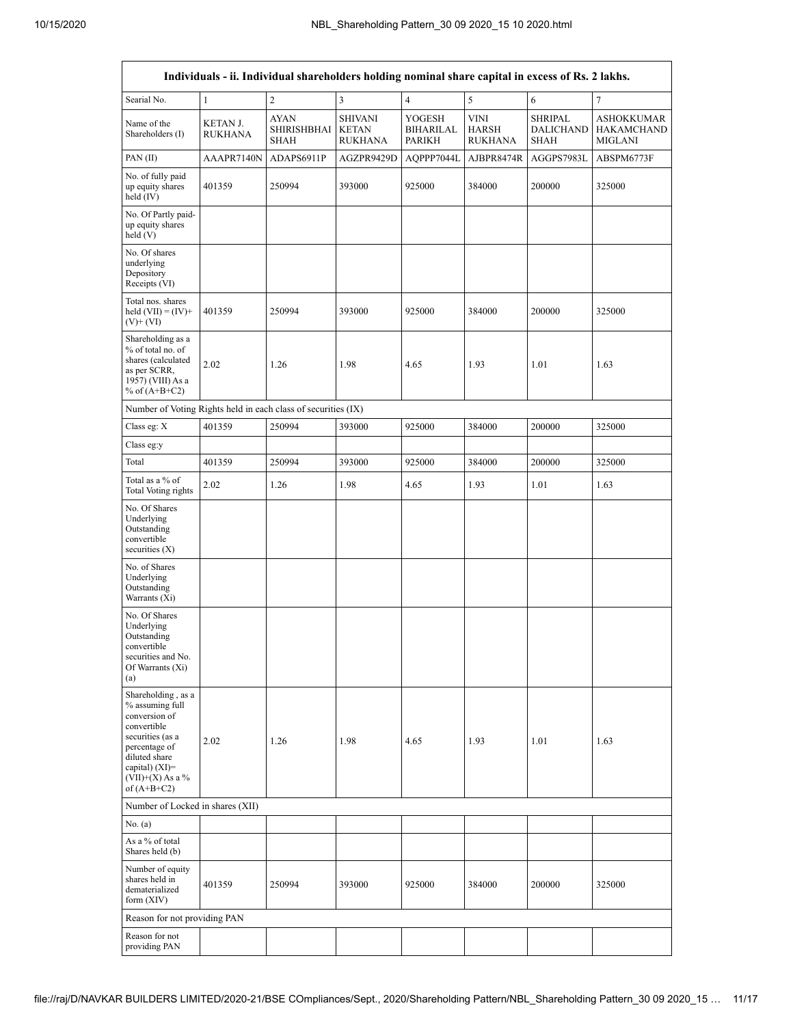$\overline{1}$ 

|                                                                                                                                                                                      |                            |                                           |                                                  |                                                    | Individuals - ii. Individual shareholders holding nominal share capital in excess of Rs. 2 lakhs. |                                                   |                                                          |  |  |  |  |  |  |  |
|--------------------------------------------------------------------------------------------------------------------------------------------------------------------------------------|----------------------------|-------------------------------------------|--------------------------------------------------|----------------------------------------------------|---------------------------------------------------------------------------------------------------|---------------------------------------------------|----------------------------------------------------------|--|--|--|--|--|--|--|
| Searial No.                                                                                                                                                                          | $\mathbf{1}$               | $\overline{2}$                            | $\overline{3}$                                   | $\overline{4}$                                     | 5                                                                                                 | 6                                                 | $\tau$                                                   |  |  |  |  |  |  |  |
| Name of the<br>Shareholders (I)                                                                                                                                                      | <b>KETAN J.</b><br>RUKHANA | <b>AYAN</b><br>SHIRISHBHAI<br><b>SHAH</b> | <b>SHIVANI</b><br><b>KETAN</b><br><b>RUKHANA</b> | <b>YOGESH</b><br><b>BIHARILAL</b><br><b>PARIKH</b> | <b>VINI</b><br><b>HARSH</b><br><b>RUKHANA</b>                                                     | <b>SHRIPAL</b><br><b>DALICHAND</b><br><b>SHAH</b> | <b>ASHOKKUMAR</b><br><b>HAKAMCHAND</b><br><b>MIGLANI</b> |  |  |  |  |  |  |  |
| PAN (II)                                                                                                                                                                             | AAAPR7140N                 | ADAPS6911P                                | AGZPR9429D                                       | AQPPP7044L                                         | AJBPR8474R                                                                                        | AGGPS7983L                                        | ABSPM6773F                                               |  |  |  |  |  |  |  |
| No. of fully paid<br>up equity shares<br>held (IV)                                                                                                                                   | 401359                     | 250994                                    | 393000                                           | 925000                                             | 384000                                                                                            | 200000                                            | 325000                                                   |  |  |  |  |  |  |  |
| No. Of Partly paid-<br>up equity shares<br>held (V)                                                                                                                                  |                            |                                           |                                                  |                                                    |                                                                                                   |                                                   |                                                          |  |  |  |  |  |  |  |
| No. Of shares<br>underlying<br>Depository<br>Receipts (VI)                                                                                                                           |                            |                                           |                                                  |                                                    |                                                                                                   |                                                   |                                                          |  |  |  |  |  |  |  |
| Total nos. shares<br>held $(VII) = (IV) +$<br>$(V)$ + $(VI)$                                                                                                                         | 401359                     | 250994                                    | 393000                                           | 925000                                             | 384000                                                                                            | 200000                                            | 325000                                                   |  |  |  |  |  |  |  |
| Shareholding as a<br>% of total no. of<br>shares (calculated<br>as per SCRR,<br>1957) (VIII) As a<br>% of $(A+B+C2)$                                                                 | 2.02                       | 1.26                                      | 1.98                                             | 4.65                                               | 1.93                                                                                              | 1.01                                              | 1.63                                                     |  |  |  |  |  |  |  |
| Number of Voting Rights held in each class of securities (IX)                                                                                                                        |                            |                                           |                                                  |                                                    |                                                                                                   |                                                   |                                                          |  |  |  |  |  |  |  |
| Class eg: X                                                                                                                                                                          | 401359                     | 250994                                    | 393000                                           | 925000                                             | 384000                                                                                            | 200000                                            | 325000                                                   |  |  |  |  |  |  |  |
| Class eg:y                                                                                                                                                                           |                            |                                           |                                                  |                                                    |                                                                                                   |                                                   |                                                          |  |  |  |  |  |  |  |
| Total                                                                                                                                                                                | 401359                     | 250994                                    | 393000                                           | 925000                                             | 384000                                                                                            | 200000                                            | 325000                                                   |  |  |  |  |  |  |  |
| Total as a % of<br><b>Total Voting rights</b>                                                                                                                                        | 2.02                       | 1.26                                      | 1.98                                             | 4.65                                               | 1.93                                                                                              | 1.01                                              | 1.63                                                     |  |  |  |  |  |  |  |
| No. Of Shares<br>Underlying<br>Outstanding<br>convertible<br>securities $(X)$                                                                                                        |                            |                                           |                                                  |                                                    |                                                                                                   |                                                   |                                                          |  |  |  |  |  |  |  |
| No. of Shares<br>Underlying<br>Outstanding<br>Warrants (Xi)                                                                                                                          |                            |                                           |                                                  |                                                    |                                                                                                   |                                                   |                                                          |  |  |  |  |  |  |  |
| No. Of Shares<br>Underlying<br>Outstanding<br>convertible<br>securities and No.<br>Of Warrants (Xi)<br>(a)                                                                           |                            |                                           |                                                  |                                                    |                                                                                                   |                                                   |                                                          |  |  |  |  |  |  |  |
| Shareholding, as a<br>% assuming full<br>conversion of<br>convertible<br>securities (as a<br>percentage of<br>diluted share<br>capital) (XI)=<br>$(VII)+(X)$ As a %<br>of $(A+B+C2)$ | 2.02                       | 1.26                                      | 1.98                                             | 4.65                                               | 1.93                                                                                              | 1.01                                              | 1.63                                                     |  |  |  |  |  |  |  |
| Number of Locked in shares (XII)                                                                                                                                                     |                            |                                           |                                                  |                                                    |                                                                                                   |                                                   |                                                          |  |  |  |  |  |  |  |
| No. (a)                                                                                                                                                                              |                            |                                           |                                                  |                                                    |                                                                                                   |                                                   |                                                          |  |  |  |  |  |  |  |
| As a % of total<br>Shares held (b)                                                                                                                                                   |                            |                                           |                                                  |                                                    |                                                                                                   |                                                   |                                                          |  |  |  |  |  |  |  |
| Number of equity<br>shares held in<br>dematerialized<br>form (XIV)                                                                                                                   | 401359                     | 250994                                    | 393000                                           | 925000                                             | 384000                                                                                            | 200000                                            | 325000                                                   |  |  |  |  |  |  |  |
| Reason for not providing PAN                                                                                                                                                         |                            |                                           |                                                  |                                                    |                                                                                                   |                                                   |                                                          |  |  |  |  |  |  |  |
| Reason for not<br>providing PAN                                                                                                                                                      |                            |                                           |                                                  |                                                    |                                                                                                   |                                                   |                                                          |  |  |  |  |  |  |  |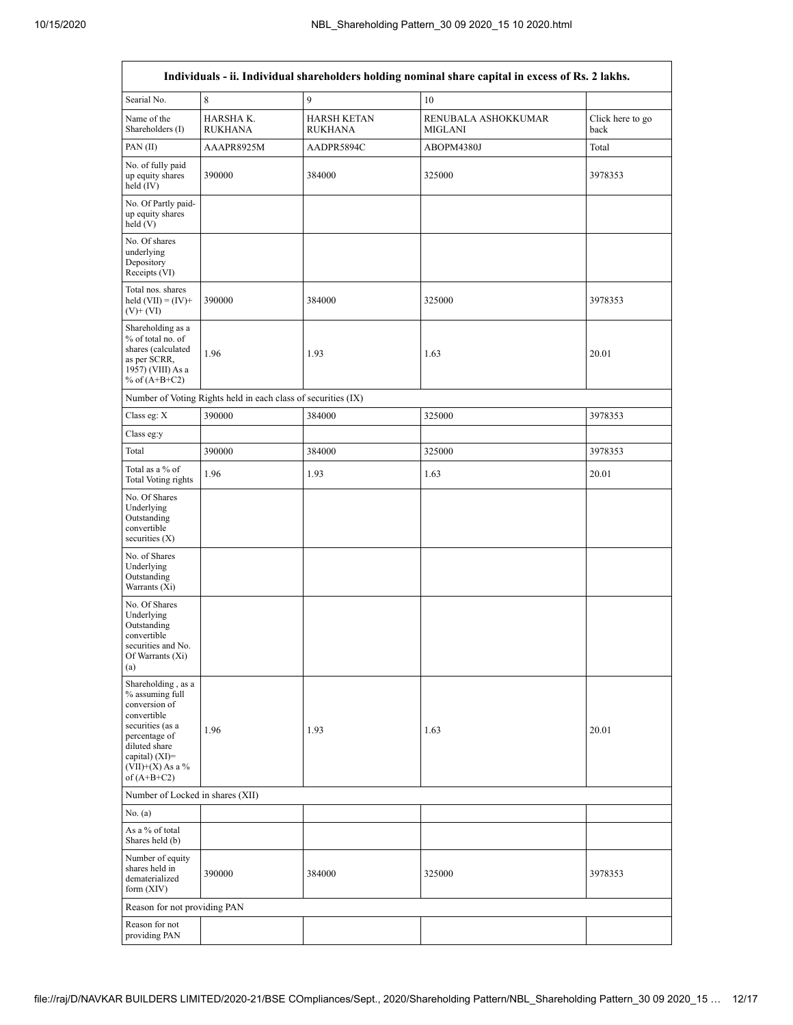| Searial No.                                                                                                                                                                          | 8                                                             | 9                                    | 10                                    |                          |
|--------------------------------------------------------------------------------------------------------------------------------------------------------------------------------------|---------------------------------------------------------------|--------------------------------------|---------------------------------------|--------------------------|
| Name of the<br>Shareholders (I)                                                                                                                                                      | HARSHA K.<br><b>RUKHANA</b>                                   | <b>HARSH KETAN</b><br><b>RUKHANA</b> | RENUBALA ASHOKKUMAR<br><b>MIGLANI</b> | Click here to go<br>back |
| PAN $(II)$                                                                                                                                                                           | AAAPR8925M                                                    | AADPR5894C                           | ABOPM4380J                            | Total                    |
| No. of fully paid<br>up equity shares<br>held (IV)                                                                                                                                   | 390000                                                        | 384000                               | 325000                                | 3978353                  |
| No. Of Partly paid-<br>up equity shares<br>held (V)                                                                                                                                  |                                                               |                                      |                                       |                          |
| No. Of shares<br>underlying<br>Depository<br>Receipts (VI)                                                                                                                           |                                                               |                                      |                                       |                          |
| Total nos. shares<br>held $(VII) = (IV) +$<br>$(V)$ + $(VI)$                                                                                                                         | 390000                                                        | 384000                               | 325000                                | 3978353                  |
| Shareholding as a<br>% of total no. of<br>shares (calculated<br>as per SCRR,<br>1957) (VIII) As a<br>% of $(A+B+C2)$                                                                 | 1.96                                                          | 1.93                                 | 1.63                                  | 20.01                    |
|                                                                                                                                                                                      | Number of Voting Rights held in each class of securities (IX) |                                      |                                       |                          |
| Class eg: X                                                                                                                                                                          | 390000                                                        | 384000                               | 325000                                | 3978353                  |
| Class eg:y                                                                                                                                                                           |                                                               |                                      |                                       |                          |
| Total                                                                                                                                                                                | 390000                                                        | 384000                               | 325000                                | 3978353                  |
| Total as a % of<br><b>Total Voting rights</b>                                                                                                                                        | 1.96                                                          | 1.93                                 | 1.63                                  | 20.01                    |
| No. Of Shares<br>Underlying<br>Outstanding<br>convertible<br>securities $(X)$                                                                                                        |                                                               |                                      |                                       |                          |
| No. of Shares<br>Underlying<br>Outstanding<br>Warrants (Xi)                                                                                                                          |                                                               |                                      |                                       |                          |
| No. Of Shares<br>Underlying<br>Outstanding<br>convertible<br>securities and No.<br>Of Warrants (Xi)<br>(a)                                                                           |                                                               |                                      |                                       |                          |
| Shareholding, as a<br>% assuming full<br>conversion of<br>convertible<br>securities (as a<br>percentage of<br>diluted share<br>capital) (XI)=<br>$(VII)+(X)$ As a %<br>of $(A+B+C2)$ | 1.96                                                          | 1.93                                 | 1.63                                  | 20.01                    |
| Number of Locked in shares (XII)                                                                                                                                                     |                                                               |                                      |                                       |                          |
| No. (a)                                                                                                                                                                              |                                                               |                                      |                                       |                          |
| As a % of total<br>Shares held (b)                                                                                                                                                   |                                                               |                                      |                                       |                          |
| Number of equity<br>shares held in<br>dematerialized<br>form $(XIV)$                                                                                                                 | 390000                                                        | 384000                               | 325000                                | 3978353                  |
| Reason for not providing PAN                                                                                                                                                         |                                                               |                                      |                                       |                          |
| Reason for not                                                                                                                                                                       |                                                               |                                      |                                       |                          |
| providing PAN                                                                                                                                                                        |                                                               |                                      |                                       |                          |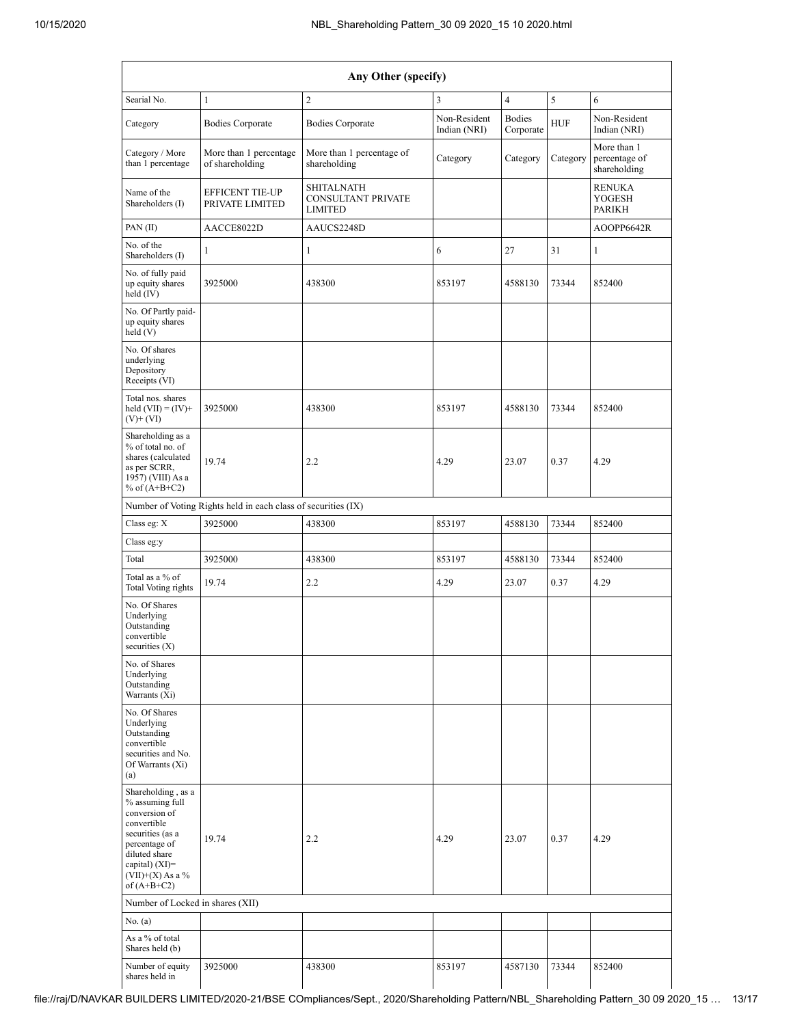| Any Other (specify)                                                                                                                                                                    |                                                               |                                                                  |                              |                            |            |                                              |  |  |  |  |
|----------------------------------------------------------------------------------------------------------------------------------------------------------------------------------------|---------------------------------------------------------------|------------------------------------------------------------------|------------------------------|----------------------------|------------|----------------------------------------------|--|--|--|--|
| Searial No.                                                                                                                                                                            | $\mathbf{1}$                                                  | $\overline{c}$                                                   | $\overline{4}$               | 5<br>6                     |            |                                              |  |  |  |  |
| Category                                                                                                                                                                               | <b>Bodies Corporate</b>                                       | <b>Bodies Corporate</b>                                          | Non-Resident<br>Indian (NRI) | <b>Bodies</b><br>Corporate | <b>HUF</b> | Non-Resident<br>Indian (NRI)                 |  |  |  |  |
| Category / More<br>than 1 percentage                                                                                                                                                   | More than 1 percentage<br>of shareholding                     | More than 1 percentage of<br>shareholding                        | Category                     | Category                   | Category   | More than 1<br>percentage of<br>shareholding |  |  |  |  |
| Name of the<br>Shareholders (I)                                                                                                                                                        | <b>EFFICENT TIE-UP</b><br>PRIVATE LIMITED                     | <b>SHITALNATH</b><br><b>CONSULTANT PRIVATE</b><br><b>LIMITED</b> |                              |                            |            | <b>RENUKA</b><br>YOGESH<br><b>PARIKH</b>     |  |  |  |  |
| PAN (II)                                                                                                                                                                               | AACCE8022D                                                    | AAUCS2248D                                                       |                              |                            |            | AOOPP6642R                                   |  |  |  |  |
| No. of the<br>Shareholders (I)                                                                                                                                                         | $\mathbf{1}$                                                  | $\mathbf{1}$                                                     | 6                            | 27                         |            | $\mathbf{1}$                                 |  |  |  |  |
| No. of fully paid<br>up equity shares<br>held $(IV)$                                                                                                                                   | 3925000                                                       | 438300                                                           | 853197                       | 4588130                    | 73344      | 852400                                       |  |  |  |  |
| No. Of Partly paid-<br>up equity shares<br>held (V)                                                                                                                                    |                                                               |                                                                  |                              |                            |            |                                              |  |  |  |  |
| No. Of shares<br>underlying<br>Depository<br>Receipts (VI)                                                                                                                             |                                                               |                                                                  |                              |                            |            |                                              |  |  |  |  |
| Total nos. shares<br>held $(VII) = (IV) +$<br>$(V)$ + $(VI)$                                                                                                                           | 3925000                                                       | 438300                                                           | 853197                       | 4588130                    | 73344      | 852400                                       |  |  |  |  |
| Shareholding as a<br>% of total no. of<br>shares (calculated<br>as per SCRR,<br>1957) (VIII) As a<br>% of $(A+B+C2)$                                                                   | 19.74                                                         | 23.07<br>2.2<br>4.29                                             |                              |                            | 0.37       | 4.29                                         |  |  |  |  |
|                                                                                                                                                                                        | Number of Voting Rights held in each class of securities (IX) |                                                                  |                              |                            |            |                                              |  |  |  |  |
| Class eg: X                                                                                                                                                                            | 3925000                                                       | 438300                                                           | 4588130<br>853197            |                            | 73344      | 852400                                       |  |  |  |  |
| Class eg:y                                                                                                                                                                             |                                                               |                                                                  |                              |                            |            |                                              |  |  |  |  |
| Total                                                                                                                                                                                  | 3925000                                                       | 438300                                                           | 853197<br>4588130            |                            | 73344      | 852400                                       |  |  |  |  |
| Total as a % of<br><b>Total Voting rights</b>                                                                                                                                          | 19.74                                                         | 2.2<br>4.29                                                      |                              | 23.07                      | 0.37       | 4.29                                         |  |  |  |  |
| No. Of Shares<br>Underlying<br>Outstanding<br>convertible<br>securities $(X)$                                                                                                          |                                                               |                                                                  |                              |                            |            |                                              |  |  |  |  |
| No. of Shares<br>Underlying<br>Outstanding<br>Warrants (Xi)                                                                                                                            |                                                               |                                                                  |                              |                            |            |                                              |  |  |  |  |
| No. Of Shares<br>Underlying<br>Outstanding<br>convertible<br>securities and No.<br>Of Warrants (Xi)<br>(a)                                                                             |                                                               |                                                                  |                              |                            |            |                                              |  |  |  |  |
| Shareholding, as a<br>% assuming full<br>conversion of<br>convertible<br>securities (as a<br>percentage of<br>diluted share<br>capital) $(XI)=$<br>$(VII)+(X)$ As a %<br>of $(A+B+C2)$ | 19.74                                                         | 2.2                                                              | 4.29                         | 23.07                      | 0.37       | 4.29                                         |  |  |  |  |
| Number of Locked in shares (XII)                                                                                                                                                       |                                                               |                                                                  |                              |                            |            |                                              |  |  |  |  |
| No. (a)                                                                                                                                                                                |                                                               |                                                                  |                              |                            |            |                                              |  |  |  |  |
| As a % of total<br>Shares held (b)                                                                                                                                                     |                                                               |                                                                  |                              |                            |            |                                              |  |  |  |  |
| Number of equity<br>shares held in                                                                                                                                                     | 3925000                                                       | 438300                                                           | 853197                       | 4587130<br>73344           |            | 852400                                       |  |  |  |  |

 $\mathbf{I}$  $\mathbf{L}$ file://raj/D/NAVKAR BUILDERS LIMITED/2020-21/BSE COmpliances/Sept., 2020/Shareholding Pattern/NBL\_Shareholding Pattern\_30 09 2020\_15 … 13/17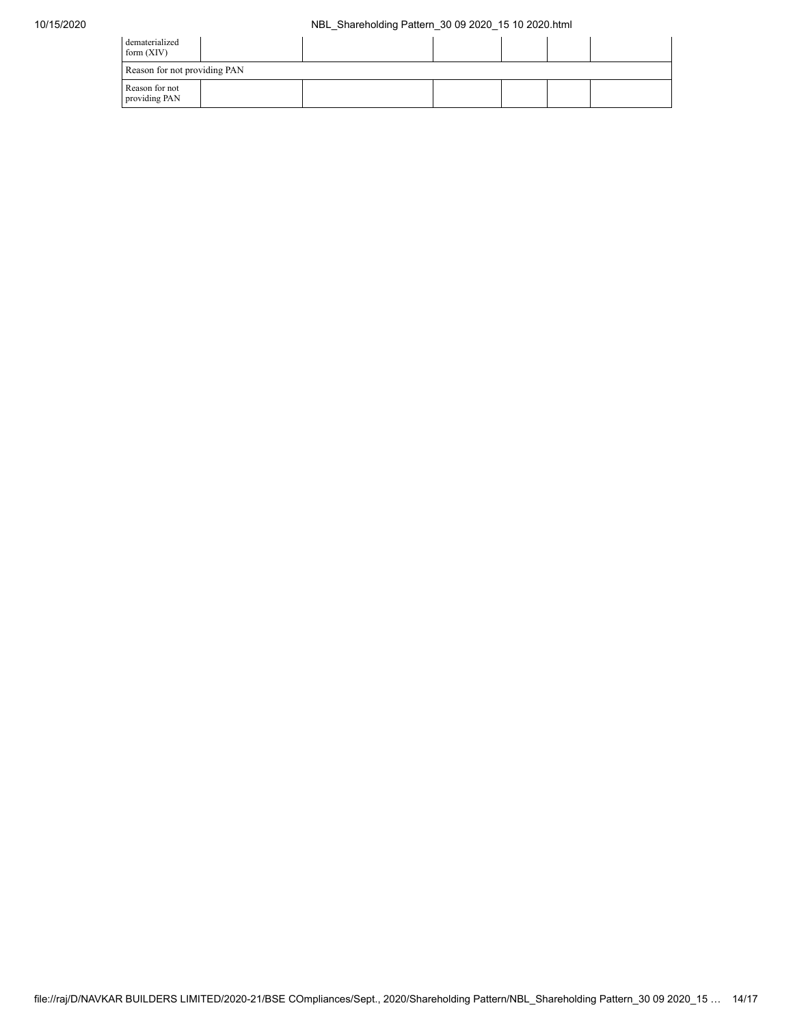## 10/15/2020 NBL\_Shareholding Pattern\_30 09 2020\_15 10 2020.html

| dematerialized<br>form $(XIV)$  |  |  |  |  |  |  |  |  |  |
|---------------------------------|--|--|--|--|--|--|--|--|--|
| Reason for not providing PAN    |  |  |  |  |  |  |  |  |  |
| Reason for not<br>providing PAN |  |  |  |  |  |  |  |  |  |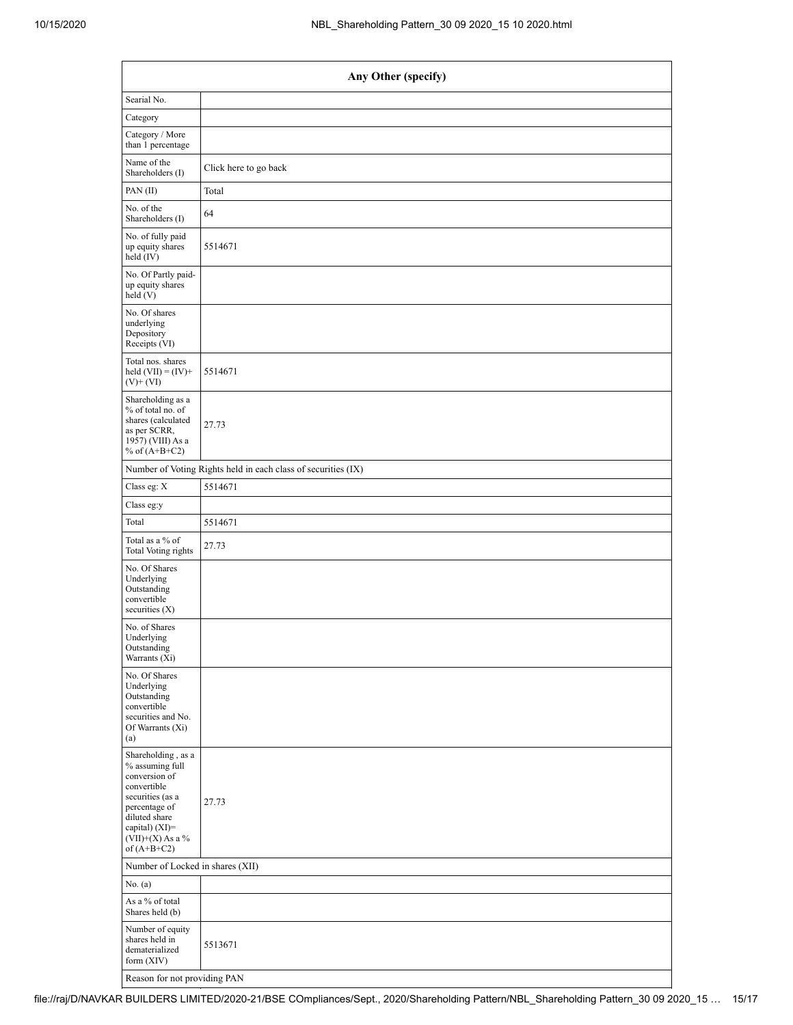| Any Other (specify)                                                                                                                                                                  |                                                               |  |  |  |  |  |  |  |  |
|--------------------------------------------------------------------------------------------------------------------------------------------------------------------------------------|---------------------------------------------------------------|--|--|--|--|--|--|--|--|
| Searial No.                                                                                                                                                                          |                                                               |  |  |  |  |  |  |  |  |
| Category                                                                                                                                                                             |                                                               |  |  |  |  |  |  |  |  |
| Category / More<br>than 1 percentage                                                                                                                                                 |                                                               |  |  |  |  |  |  |  |  |
| Name of the<br>Shareholders (I)                                                                                                                                                      | Click here to go back                                         |  |  |  |  |  |  |  |  |
| PAN (II)                                                                                                                                                                             | Total                                                         |  |  |  |  |  |  |  |  |
| No. of the<br>Shareholders (I)                                                                                                                                                       | 64                                                            |  |  |  |  |  |  |  |  |
| No. of fully paid<br>up equity shares<br>held (IV)                                                                                                                                   | 5514671                                                       |  |  |  |  |  |  |  |  |
| No. Of Partly paid-<br>up equity shares<br>held(V)                                                                                                                                   |                                                               |  |  |  |  |  |  |  |  |
| No. Of shares<br>underlying<br>Depository<br>Receipts (VI)                                                                                                                           |                                                               |  |  |  |  |  |  |  |  |
| Total nos. shares<br>held $(VII) = (IV) +$<br>$(V)$ + $(VI)$                                                                                                                         | 5514671                                                       |  |  |  |  |  |  |  |  |
| Shareholding as a<br>% of total no. of<br>shares (calculated<br>as per SCRR,<br>1957) (VIII) As a<br>% of $(A+B+C2)$                                                                 | 27.73                                                         |  |  |  |  |  |  |  |  |
|                                                                                                                                                                                      | Number of Voting Rights held in each class of securities (IX) |  |  |  |  |  |  |  |  |
| Class eg: X                                                                                                                                                                          | 5514671                                                       |  |  |  |  |  |  |  |  |
| Class eg:y                                                                                                                                                                           |                                                               |  |  |  |  |  |  |  |  |
| Total                                                                                                                                                                                | 5514671                                                       |  |  |  |  |  |  |  |  |
| Total as a % of<br><b>Total Voting rights</b>                                                                                                                                        | 27.73                                                         |  |  |  |  |  |  |  |  |
| No. Of Shares<br>Underlying<br>Outstanding<br>convertible<br>securities $(X)$                                                                                                        |                                                               |  |  |  |  |  |  |  |  |
| No. of Shares<br>Underlying<br>Outstanding<br>Warrants (Xi)                                                                                                                          |                                                               |  |  |  |  |  |  |  |  |
| No. Of Shares<br>Underlying<br>Outstanding<br>convertible<br>securities and No.<br>Of Warrants (Xi)<br>(a)                                                                           |                                                               |  |  |  |  |  |  |  |  |
| Shareholding, as a<br>% assuming full<br>conversion of<br>convertible<br>securities (as a<br>percentage of<br>diluted share<br>capital) (XI)=<br>$(VII)+(X)$ As a %<br>of $(A+B+C2)$ | 27.73                                                         |  |  |  |  |  |  |  |  |
|                                                                                                                                                                                      | Number of Locked in shares (XII)                              |  |  |  |  |  |  |  |  |
| No. $(a)$                                                                                                                                                                            |                                                               |  |  |  |  |  |  |  |  |
| As a % of total<br>Shares held (b)                                                                                                                                                   |                                                               |  |  |  |  |  |  |  |  |
| Number of equity<br>shares held in<br>dematerialized<br>form $(XIV)$                                                                                                                 | 5513671                                                       |  |  |  |  |  |  |  |  |
| Reason for not providing PAN                                                                                                                                                         |                                                               |  |  |  |  |  |  |  |  |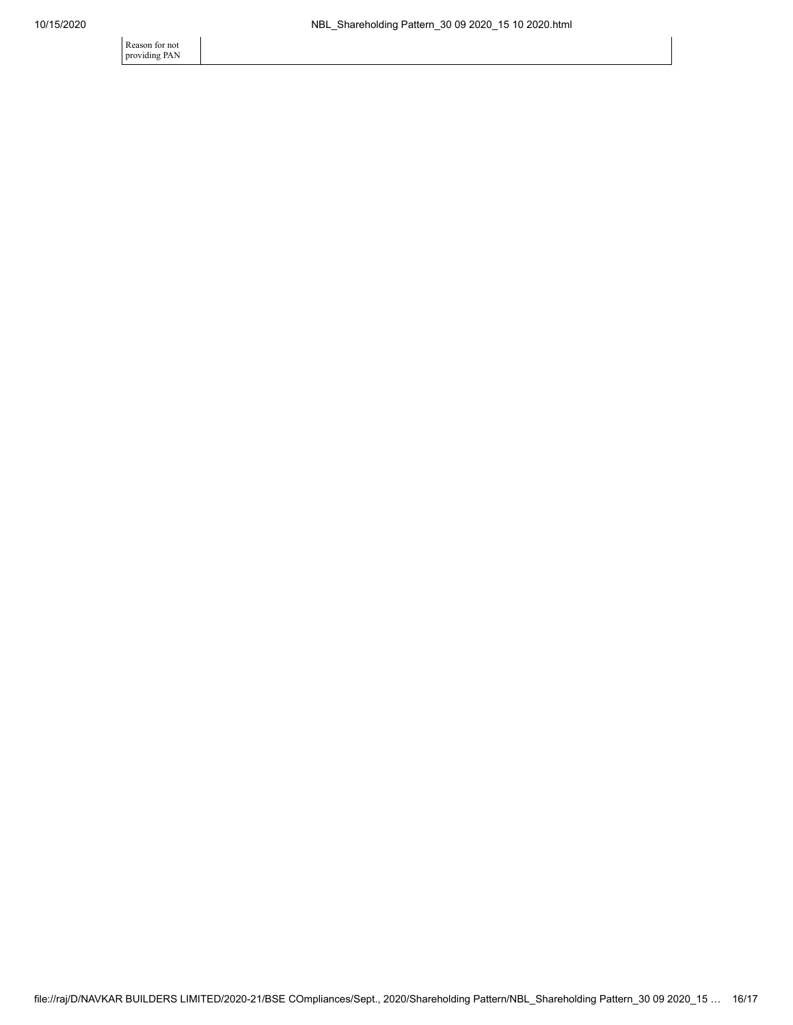Reason for not providing PAN